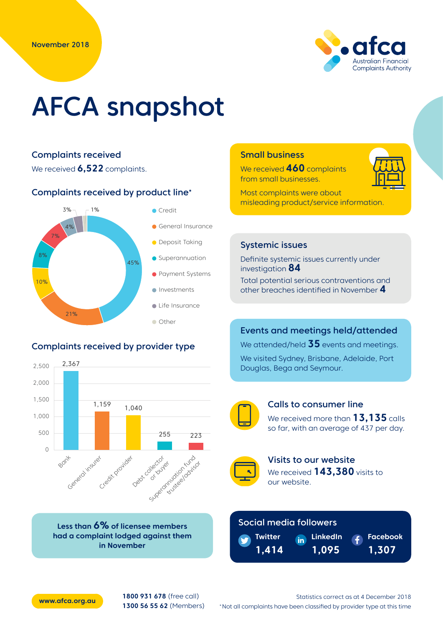

# AFCA snapshot

#### Complaints received

We received **6,522** complaints.

 $1%$ 

Complaints received by product line\*



We received **460** complaints from small businesses.



Most complaints were about misleading product/service information.

#### 45% 21% 10% 8% 7% 4% **O** Deposit Taking **Investments Superannuation C** Life Insurance General Insurance ● Payment Systems **Other**

**Credit** 

# Complaints received by provider type



**Less than 6% of licensee members had a complaint lodged against them in November**

# Systemic issues

Definite systemic issues currently under investigation **84**

Total potential serious contraventions and other breaches identified in November **4**

# Events and meetings held/attended

We attended/held **35** events and meetings.

We visited Sydney, Brisbane, Adelaide, Port Douglas, Bega and Seymour.



#### Calls to consumer line

We received more than **13,135** calls so far, with an average of 437 per day.



Visits to our website We received **143,380** visits to our website.

> **LinkedIn 1,095**

# Social media followers

**THE** 



**Facebook 1,307**



**[www.afca.org.au](http://www.afca.org.au) 1800 931 678** (free call) **1300 56 55 62** (Members)